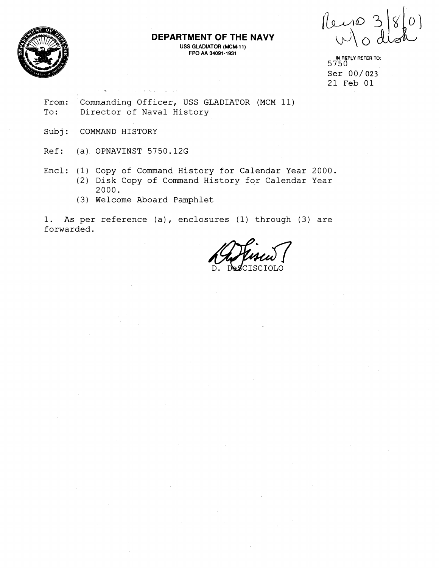

# **DEPARTMENT OF THE NAVY**

**USS GLADIATOR (MCM-11) FPO AA 34091 -1931** 

Peiro 3<br>Wod

From: Commanding Officer, USS GLADIATOR (MCM 11) To: Director of Naval History

. -.

Subj: COMMAND HISTORY

Ref: (a) OPNAVINST 5750.12G

- Encl: (1) Copy of Command History for Calendar Year 2000. (2) Disk Copy of Command History for Calendar Year 2000.
	- (3) Welcome Aboard Pamphlet

1. As per reference (a), enclosures (1) through (3) are forwarded.

**I(J RSPCY REFER TO:**  5750 Ser 00/023 21 Feb 01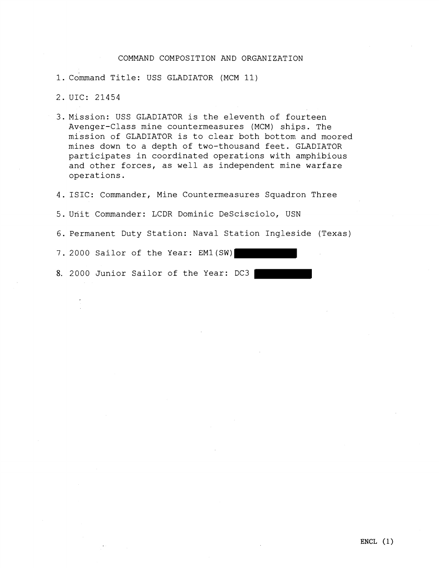## COMMAND COMPOSITION AND ORGANIZATION

- 1. Command Title: USS GLADIATOR (MCM 11)
- 2. UIC: 21454
- 3.Mission: USS GLADIATOR is the eleventh of fourteen Avenger-Class mine countermeasures (MCM) ships. The mission of GLADIATOR is to clear both bottom and moored mines down to a depth of two-thousand feet. GLADIATOR participates in coordinated operations with amphibious and other forces, as well as independent mine warfare operations.
- 4. ISIC: Commander, Mine Countermeasures Squadron Three
- 5. Unit Commander: LCDR Dominic DeScisciolo, USN
- 6. Permanent Duty Station: Naval Station Ingleside (Texas)
- 7. 2000 Sailor of the Year: EM1(SW)
- **8.** 2000 Junior Sailor of the Year: DC3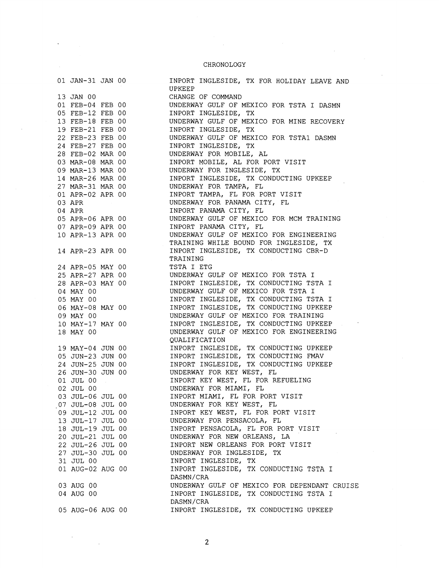#### CHRONOLOGY

INPORT INGLESIDE, TX FOR HOLIDAY LEAVE AND

01 JAN-31 JAN 00 13 JAN 00 01 FEB-04 FEB 00 05 FEB-12 FEB 00 13 FEB-18 FEB 00 19 FEB-21 FEB 00 22 FEB-23 FEB 00 24 FEB-27 FEB 00 28 FEB-02 MAR 00 03 MAR-08 MAR 00 09 MAR-13 MAR 00 14 MAR-26 MAR 00 27 MAR-31 MAR 00 01 APR-02 APR 00 03 APR 04 APR 05 APR-06 APR 00 07 APR-09 APR 00 10 APR-13 APR 00 14 APR-23 APR 00 24 APR-05 MAY 00 25 APR-27 APR 00 28 APR-03 MAY 00 04 MAY 00 05 MAY 00 06 MAY-08 MAY 00 09 MAY 00 10 MAY-17 MAY 00 18 MAY 00 19 MAY-04 JUN 00 05 JUN-23 JUN 00 24 JUN-25 JUN 00 26 JUN-30 JUN 00 01 JUL 00 02 JUL 00 03 JUL-06 JUL 00 ,07 JUL-08 JUL 00 09 JUL-12 JUL 00 13 JUL-17 JUL 00 18 JUL-19 JUL 00 20 JUL-21 JUL 00 22 JUL-26 JUL 00 27 JUL-30 JUL 00 31 JUL 00 01 AUG-02 AUG 00 03 AUG 00 04 AUG 00 05 AUG-06 AUG 00

UPKEEP<br>CHANGE OF COMMAND CHANGE OF COMMAND UNDERWAY GULF OF MEXICO FOR TSTA I DASMN INPORT INGLESIDE, TX UNDERWAY GULF OF MEXICO FOR MINE RECOVERY INPORT INGLESIDE, TX UNDERWAY GULF OF MEXICO FOR TSTAl DASMN INPORT INGLESIDE, TX UNDERWAY FOR MOBILE, AL INPORT MOBILE, AL FOR PORT VISIT UNDERWAY FOR INGLESIDE, TX INPORT INGLESIDE, TX CONDUCTING UPKEEP UNDERWAY FOR TAMPA, EL INPORT TAMPA, EL FOR PORT VISIT UNDERWAY FOR PANAMA CITY, EL INPORT PANAMA CITY, EL UNDERWAY GULF OF MEXICO FOR MCM TRAINING INPORT PANAMA CITY, EL UNDERWAY GULF OF MEXICO FOR ENGINEERING TRAINING WHILE BOUND FOR INGLESIDE, TX INPORT INGLESIDE, TX CONDUCTING CBR-D TRAINING TSTA I ETG UNDERWAY GULF OF MEXICO FOR TSTA I INPORT INGLESIDE, TX CONDUCTING TSTA I UNDERWAY GULF OF MEXICO FOR TSTA I INPORT INGLESIDE, TX CONDUCTING TSTA I INPORT INGLESIDE, IX CONDOCTING ISIA I<br>INPORT INGLESIDE, TX CONDUCTING UPKEEP UNDERWAY GULF OF MEXICO FOR TRAINING INPORT INGLESIDE, TX CONDUCTING UPKEEP UNDERWAY GULF OF MEXICO FOR ENGINEERING QUALIFICATION INPORT INGLESIDE, TX CONDUCTING UPKEEP INPORT INGLESIDE, TX CONDUCTING FMAV INPORT INGLESIDE, TX CONDUCTING UPKEEP UNDERWAY FOR KEY WEST, EL INPORT KEY WEST, EL FOR REFUELING UNDERWAY FOR MIAMI, FL INPORT MIAMI, EL FOR PORT VISIT UNDERWAY FOR KEY WEST, EL INPORT KEY WEST, EL FOR PORT VISIT UNDERWAY FOR PENSACOLA, EL INPORT PENSACOLA, EL FOR PORT VISIT UNDERWAY FOR NEW ORLEANS, LA INPORT NEW ORLEANS FOR PORT VISIT UNDERWAY FOR INGLESIDE, TX INPORT INGLESIDE, TX INPORT INGLESIDE, TX CONDUCTING TSTA I DASMN/CRA UNDERWAY GULF OF MEXICO FOR DEPENDANT CRUISE INPORT INGLESIDE, TX CONDUCTING TSTA I DASMN/CRA INPORT INGLESIDE, TX CONDUCTING UPKEEP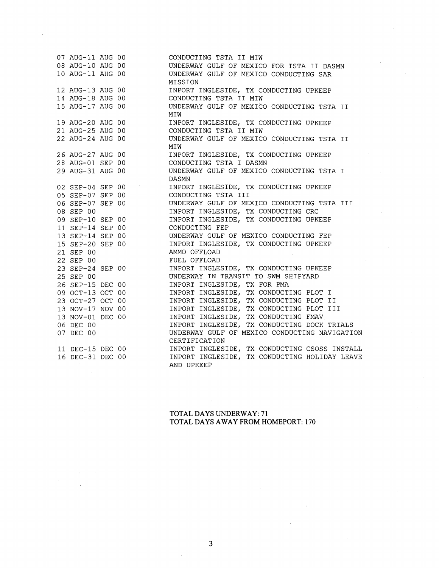|                  |                                      | CONDUCTING TSTA II MIW                        |
|------------------|--------------------------------------|-----------------------------------------------|
|                  | 07 AUG-11 AUG 00<br>08 AUG-10 AUG 00 | UNDERWAY GULF OF MEXICO FOR TSTA II DASMN     |
| 10 AUG-11 AUG 00 |                                      | UNDERWAY GULF OF MEXICO CONDUCTING SAR        |
|                  |                                      | MISSION                                       |
|                  | 12 AUG-13 AUG 00                     | INPORT INGLESIDE, TX CONDUCTING UPKEEP        |
|                  | 14 AUG-18 AUG 00                     | CONDUCTING TSTA II MIW                        |
| 15 AUG-17 AUG 00 |                                      | UNDERWAY GULF OF MEXICO CONDUCTING TSTA II    |
|                  |                                      | MIW                                           |
|                  | 19 AUG-20 AUG 00                     | INPORT INGLESIDE, TX CONDUCTING UPKEEP        |
|                  | 21 AUG-25 AUG 00                     | CONDUCTING TSTA II MIW                        |
| 22 AUG-24 AUG 00 |                                      | UNDERWAY GULF OF MEXICO CONDUCTING TSTA II    |
|                  |                                      | MIW                                           |
|                  | 26 AUG-27 AUG 00                     | INPORT INGLESIDE, TX CONDUCTING UPKEEP        |
| 28 AUG-01 SEP 00 |                                      | CONDUCTING TSTA I DASMN                       |
| 29 AUG-31 AUG 00 |                                      | UNDERWAY GULF OF MEXICO CONDUCTING TSTA I     |
|                  |                                      | DASMN                                         |
|                  | 02 SEP-04 SEP 00                     | INPORT INGLESIDE, TX CONDUCTING UPKEEP        |
|                  | 05 SEP-07 SEP 00                     | CONDUCTING TSTA III                           |
|                  | 06 SEP-07 SEP 00                     | UNDERWAY GULF OF MEXICO CONDUCTING TSTA III   |
| 08 SEP 00        |                                      | INPORT INGLESIDE, TX CONDUCTING CRC           |
|                  | 09 SEP-10 SEP 00                     | INPORT INGLESIDE, TX CONDUCTING UPKEEP        |
|                  | 11 SEP-14 SEP 00                     | CONDUCTING FEP                                |
|                  | 13 SEP-14 SEP 00                     | UNDERWAY GULF OF MEXICO CONDUCTING FEP        |
|                  | 15 SEP-20 SEP 00                     | INPORT INGLESIDE, TX CONDUCTING UPKEEP        |
| 21 SEP 00        |                                      | AMMO OFFLOAD                                  |
| 22 SEP 00        |                                      | FUEL OFFLOAD                                  |
| 23 SEP-24 SEP 00 |                                      | INPORT INGLESIDE, TX CONDUCTING UPKEEP        |
| 25 SEP 00        |                                      | UNDERWAY IN TRANSIT TO SWM SHIPYARD           |
|                  | 26 SEP-15 DEC 00<br>09 OCT-13 OCT 00 | INPORT INGLESIDE, TX FOR PMA                  |
|                  |                                      | INPORT INGLESIDE, TX CONDUCTING PLOT I        |
|                  | 23 OCT-27 OCT 00                     | INPORT INGLESIDE, TX CONDUCTING PLOT II       |
|                  | 13 NOV-17 NOV 00                     | INPORT INGLESIDE, TX CONDUCTING PLOT III      |
|                  | 13 NOV-01 DEC 00                     | INPORT INGLESIDE, TX CONDUCTING FMAV          |
| 06 DEC 00        |                                      | INPORT INGLESIDE, TX CONDUCTING DOCK TRIALS   |
| 07 DEC 00        |                                      | UNDERWAY GULF OF MEXICO CONDUCTING NAVIGATION |
|                  |                                      | CERTIFICATION                                 |
|                  | 11 DEC-15 DEC 00                     | INPORT INGLESIDE, TX CONDUCTING CSOSS INSTALL |
| 16 DEC-31 DEC 00 |                                      | INPORT INGLESIDE, TX CONDUCTING HOLIDAY LEAVE |
|                  |                                      | AND UPKEEP                                    |

## **TOTAL DAYS UNDERWAY: 7 1 TOTAL DAYS AWAY FROM HOMEPORT: 170**

 $\ddot{\phantom{a}}$ 

 $\sim$ 

 $\mathcal{A}^{\pm}$ 

 $\overline{\phantom{a}}$  $\bar{\bar{z}}$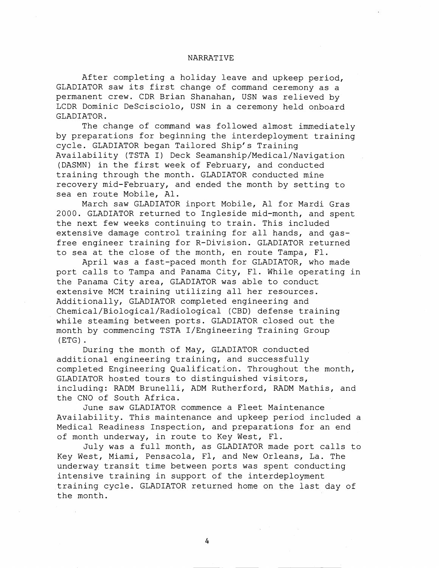### NARRATIVE

After completing a holiday leave and upkeep period, GLADIATOR saw its first change of command ceremony as a permanent crew. CDR Brian Shanahan, USN was relieved by LCDR Dominic DeScisciolo, USN in a ceremony held onboard GLADIATOR.

The change of command was followed almost immediately by preparations for beginning the interdeployment training cycle. GLADIATOR began Tailored Ship's Training Availability (TSTA I) Deck Seamanship/Medical/Navigation (DASMN) in the first week of February, and conducted training through the month. GLADIATOR conducted mine recovery mid-February, and ended the month by setting to sea en route Mobile, Al.

March saw GLADIATOR inport Mobile, A1 for Mardi Gras 2000. GLADIATOR returned to Ingleside mid-month, and spent the next few weeks continuing to train. This included extensive damage control training for all hands, and gasfree engineer training for R-Division. GLADIATOR returned to sea at the close of the month, en route Tampa, F1.

April was a fast-paced month for GLADIATOR, who made port calls to Tampa and Panama City, Fl. While operating in the Panama City area, GLADIATOR was able to conduct extensive MCM training utilizing all her resources. Additionally, GLADIATOR completed engineering and Chemical/Biological/Radiological (CBD) defense training while steaming between ports. GLADIATOR closed out the month by commencing TSTA I/Engineering Training Group (ETG) .

During the month of May, GLADIATOR conducted additional engineering training, and successfully completed Engineering Qualification. Throughout the month, GLADIATOR hosted tours to distinguished visitors, including: RADM Brunelli, ADM Rutherford, RADM Mathis, and the CNO of South Africa.

June saw GLADIATOR commence a Fleet Maintenance Availability. This maintenance and upkeep period included a Medical Readiness Inspection, and preparations for an end of month underway, in route to Key West, F1.

July was a full month, as GLADIATOR made port calls to Key West, Miami, Pensacola, F1, and New Orleans, La. The underway transit time between ports was spent conducting intensive training in support of the interdeployment training cycle. GLADIATOR returned home on the last day of the month.